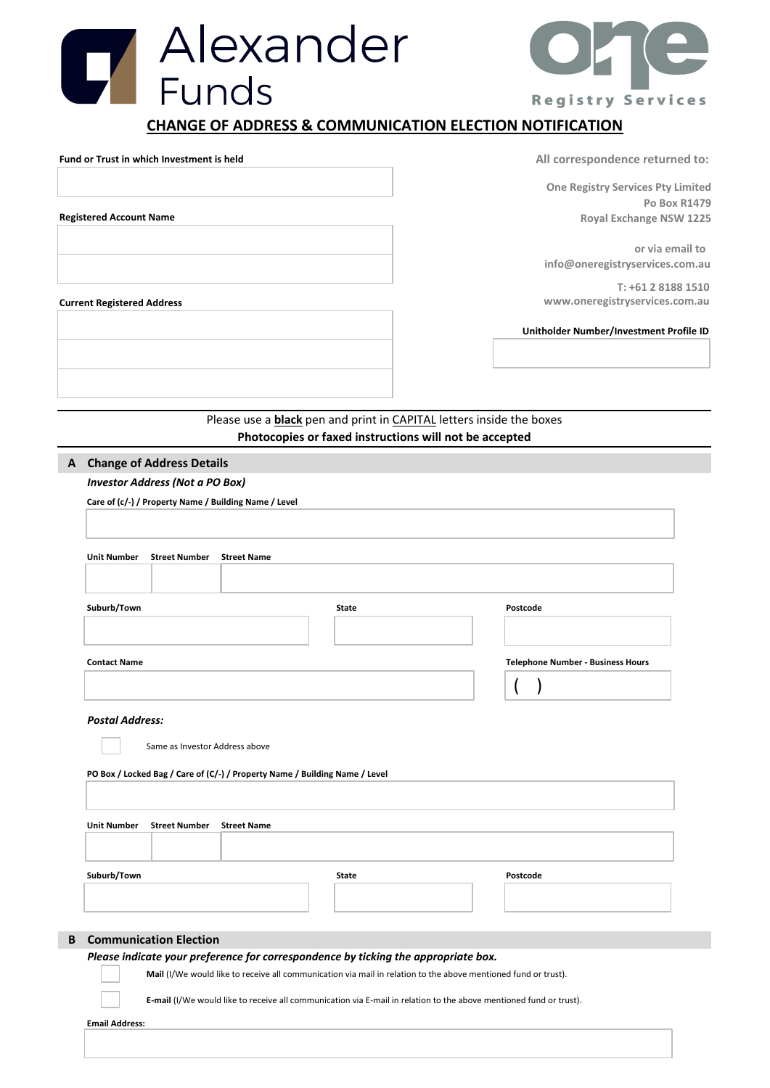## Hexander<br>Funds **CHANGE OF ADDRESS & COMMUNICATION ELECTION NOTIFICATION Fund or Trust in which Investment is held All correspondence returned to:**

**Registered Account Name**

**One Registry Services Pty Limited Po Box R1479 Royal Exchange NSW 1225**

**or via email to info@oneregistryservices.com.au**

**T: +61 2 8188 1510 Current Registered Address www.oneregistryservices.com.au**

**Unitholder Number/Investment Profile ID**

Please use a **black** pen and print in CAPITAL letters inside the boxes **Photocopies or faxed instructions will not be accepted**

## **A Change of Address Details**

*Investor Address (Not a PO Box)*

**Care of (c/-) / Property Name / Building Name / Level**

| Suburb/Town                                                                                                         | <b>State</b>                                                                                                   | Postcode                                 |  |
|---------------------------------------------------------------------------------------------------------------------|----------------------------------------------------------------------------------------------------------------|------------------------------------------|--|
| <b>Contact Name</b>                                                                                                 |                                                                                                                | <b>Telephone Number - Business Hours</b> |  |
|                                                                                                                     |                                                                                                                |                                          |  |
| <b>Postal Address:</b>                                                                                              |                                                                                                                |                                          |  |
|                                                                                                                     |                                                                                                                |                                          |  |
| Same as Investor Address above                                                                                      |                                                                                                                |                                          |  |
| PO Box / Locked Bag / Care of (C/-) / Property Name / Building Name / Level                                         |                                                                                                                |                                          |  |
|                                                                                                                     |                                                                                                                |                                          |  |
|                                                                                                                     |                                                                                                                |                                          |  |
|                                                                                                                     |                                                                                                                |                                          |  |
|                                                                                                                     |                                                                                                                |                                          |  |
| <b>Unit Number</b><br><b>Street Number</b><br><b>Street Name</b>                                                    |                                                                                                                |                                          |  |
|                                                                                                                     |                                                                                                                |                                          |  |
|                                                                                                                     | <b>State</b>                                                                                                   | Postcode                                 |  |
|                                                                                                                     |                                                                                                                |                                          |  |
| Suburb/Town                                                                                                         |                                                                                                                |                                          |  |
|                                                                                                                     |                                                                                                                |                                          |  |
|                                                                                                                     |                                                                                                                |                                          |  |
|                                                                                                                     |                                                                                                                |                                          |  |
| <b>Communication Election</b><br>Please indicate your preference for correspondence by ticking the appropriate box. | Mail (I/We would like to receive all communication via mail in relation to the above mentioned fund or trust). |                                          |  |



**Registry Services** 

**Email Address:**